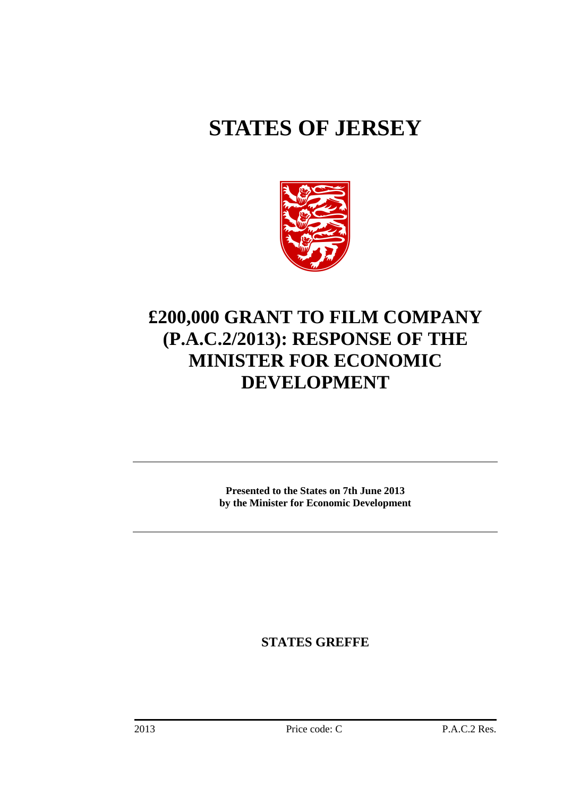# **STATES OF JERSEY**



## **£200,000 GRANT TO FILM COMPANY (P.A.C.2/2013): RESPONSE OF THE MINISTER FOR ECONOMIC DEVELOPMENT**

**Presented to the States on 7th June 2013 by the Minister for Economic Development** 

**STATES GREFFE**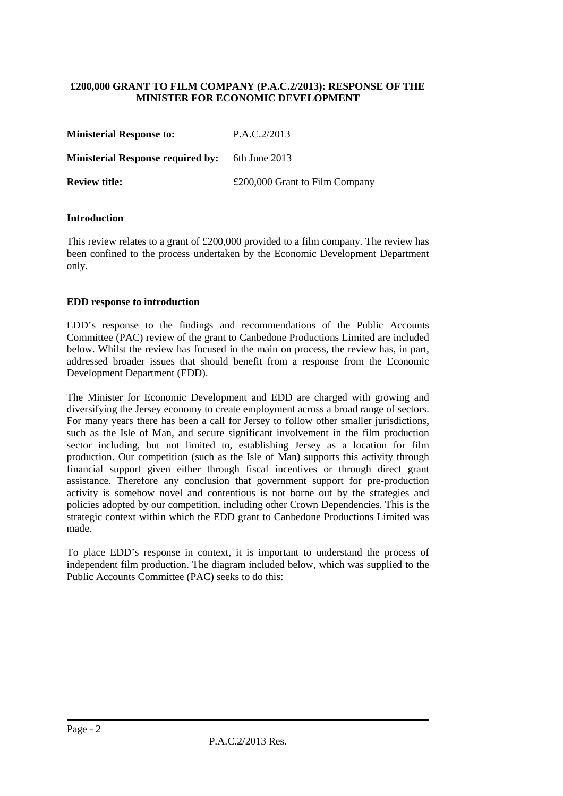#### **£200,000 GRANT TO FILM COMPANY (P.A.C.2/2013): RESPONSE OF THE MINISTER FOR ECONOMIC DEVELOPMENT**

| <b>Ministerial Response to:</b>          | P.A.C.2/2013                   |
|------------------------------------------|--------------------------------|
| <b>Ministerial Response required by:</b> | 6th June 2013                  |
| <b>Review title:</b>                     | £200,000 Grant to Film Company |

#### **Introduction**

This review relates to a grant of  $£200,000$  provided to a film company. The review has been confined to the process undertaken by the Economic Development Department only.

#### **EDD response to introduction**

EDD's response to the findings and recommendations of the Public Accounts Committee (PAC) review of the grant to Canbedone Productions Limited are included below. Whilst the review has focused in the main on process, the review has, in part, addressed broader issues that should benefit from a response from the Economic Development Department (EDD).

The Minister for Economic Development and EDD are charged with growing and diversifying the Jersey economy to create employment across a broad range of sectors. For many years there has been a call for Jersey to follow other smaller jurisdictions, such as the Isle of Man, and secure significant involvement in the film production sector including, but not limited to, establishing Jersey as a location for film production. Our competition (such as the Isle of Man) supports this activity through financial support given either through fiscal incentives or through direct grant assistance. Therefore any conclusion that government support for pre-production activity is somehow novel and contentious is not borne out by the strategies and policies adopted by our competition, including other Crown Dependencies. This is the strategic context within which the EDD grant to Canbedone Productions Limited was made.

To place EDD's response in context, it is important to understand the process of independent film production. The diagram included below, which was supplied to the Public Accounts Committee (PAC) seeks to do this: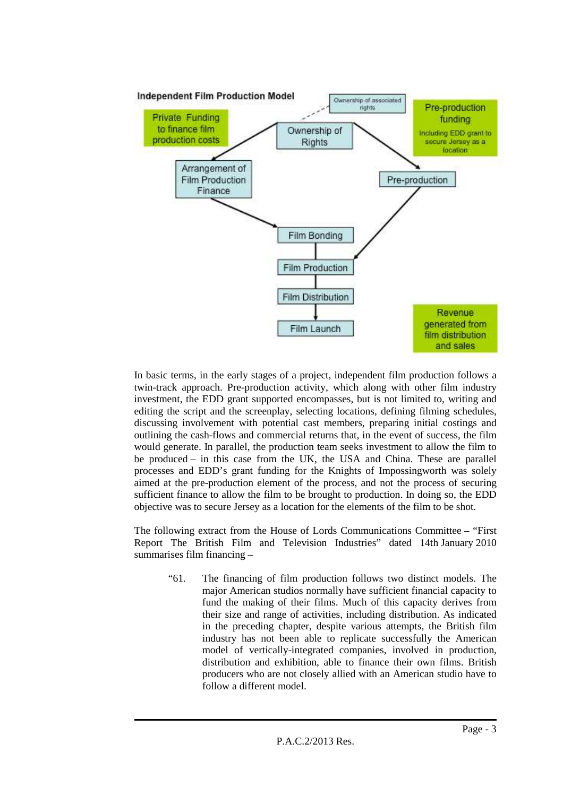

In basic terms, in the early stages of a project, independent film production follows a twin-track approach. Pre-production activity, which along with other film industry investment, the EDD grant supported encompasses, but is not limited to, writing and editing the script and the screenplay, selecting locations, defining filming schedules, discussing involvement with potential cast members, preparing initial costings and outlining the cash-flows and commercial returns that, in the event of success, the film would generate. In parallel, the production team seeks investment to allow the film to be produced – in this case from the UK, the USA and China. These are parallel processes and EDD's grant funding for the Knights of Impossingworth was solely aimed at the pre-production element of the process, and not the process of securing sufficient finance to allow the film to be brought to production. In doing so, the EDD objective was to secure Jersey as a location for the elements of the film to be shot.

The following extract from the House of Lords Communications Committee – "First Report The British Film and Television Industries" dated 14th January 2010 summarises film financing –

"61. The financing of film production follows two distinct models. The major American studios normally have sufficient financial capacity to fund the making of their films. Much of this capacity derives from their size and range of activities, including distribution. As indicated in the preceding chapter, despite various attempts, the British film industry has not been able to replicate successfully the American model of vertically-integrated companies, involved in production, distribution and exhibition, able to finance their own films. British producers who are not closely allied with an American studio have to follow a different model.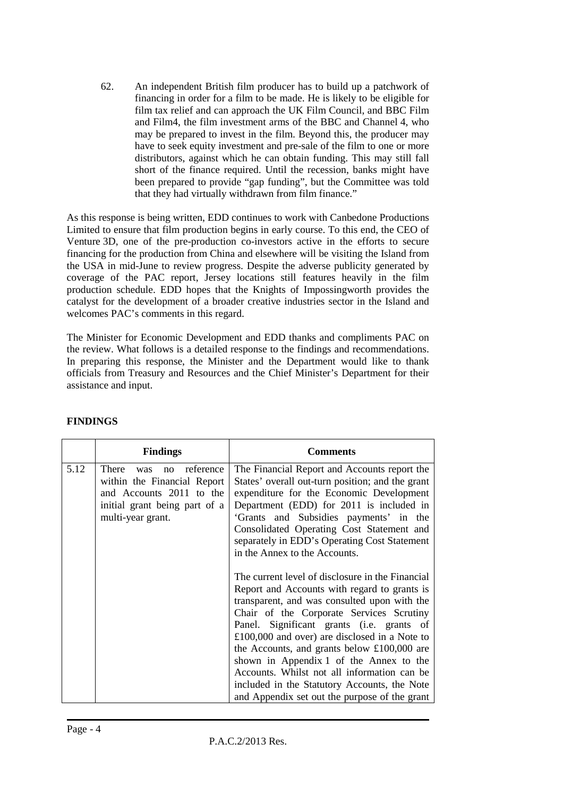62. An independent British film producer has to build up a patchwork of financing in order for a film to be made. He is likely to be eligible for film tax relief and can approach the UK Film Council, and BBC Film and Film4, the film investment arms of the BBC and Channel 4, who may be prepared to invest in the film. Beyond this, the producer may have to seek equity investment and pre-sale of the film to one or more distributors, against which he can obtain funding. This may still fall short of the finance required. Until the recession, banks might have been prepared to provide "gap funding", but the Committee was told that they had virtually withdrawn from film finance."

As this response is being written, EDD continues to work with Canbedone Productions Limited to ensure that film production begins in early course. To this end, the CEO of Venture 3D, one of the pre-production co-investors active in the efforts to secure financing for the production from China and elsewhere will be visiting the Island from the USA in mid-June to review progress. Despite the adverse publicity generated by coverage of the PAC report, Jersey locations still features heavily in the film production schedule. EDD hopes that the Knights of Impossingworth provides the catalyst for the development of a broader creative industries sector in the Island and welcomes PAC's comments in this regard.

The Minister for Economic Development and EDD thanks and compliments PAC on the review. What follows is a detailed response to the findings and recommendations. In preparing this response, the Minister and the Department would like to thank officials from Treasury and Resources and the Chief Minister's Department for their assistance and input.

|      | <b>Findings</b>                                                                                                                                  | <b>Comments</b>                                                                                                                                                                                                                                                                                                                                                                                                                                                                                                                                                                                                                                                                                                                                                                                                                                                                                              |  |  |
|------|--------------------------------------------------------------------------------------------------------------------------------------------------|--------------------------------------------------------------------------------------------------------------------------------------------------------------------------------------------------------------------------------------------------------------------------------------------------------------------------------------------------------------------------------------------------------------------------------------------------------------------------------------------------------------------------------------------------------------------------------------------------------------------------------------------------------------------------------------------------------------------------------------------------------------------------------------------------------------------------------------------------------------------------------------------------------------|--|--|
| 5.12 | There<br>reference<br>was<br>no<br>within the Financial Report<br>and Accounts 2011 to the<br>initial grant being part of a<br>multi-year grant. | The Financial Report and Accounts report the<br>States' overall out-turn position; and the grant<br>expenditure for the Economic Development<br>Department (EDD) for 2011 is included in<br>'Grants and Subsidies payments' in the<br>Consolidated Operating Cost Statement and<br>separately in EDD's Operating Cost Statement<br>in the Annex to the Accounts.<br>The current level of disclosure in the Financial<br>Report and Accounts with regard to grants is<br>transparent, and was consulted upon with the<br>Chair of the Corporate Services Scrutiny<br>Panel. Significant grants (i.e. grants of<br>$£100,000$ and over) are disclosed in a Note to<br>the Accounts, and grants below $£100,000$ are<br>shown in Appendix 1 of the Annex to the<br>Accounts. Whilst not all information can be<br>included in the Statutory Accounts, the Note<br>and Appendix set out the purpose of the grant |  |  |

#### **FINDINGS**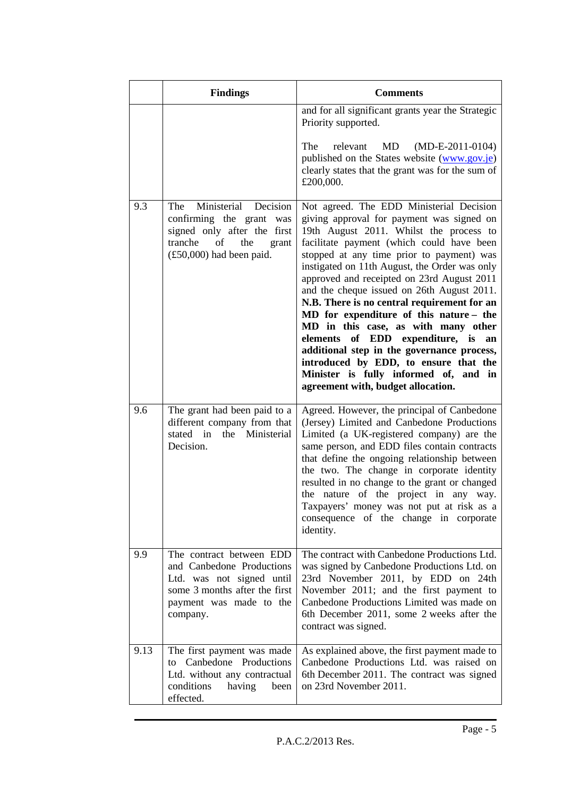|      | <b>Findings</b>                                                                                                                                                       | <b>Comments</b>                                                                                                                                                                                                                                                                                                                                                                                                                                                                                                                                                                                                                                                                                                         |  |  |
|------|-----------------------------------------------------------------------------------------------------------------------------------------------------------------------|-------------------------------------------------------------------------------------------------------------------------------------------------------------------------------------------------------------------------------------------------------------------------------------------------------------------------------------------------------------------------------------------------------------------------------------------------------------------------------------------------------------------------------------------------------------------------------------------------------------------------------------------------------------------------------------------------------------------------|--|--|
|      |                                                                                                                                                                       | and for all significant grants year the Strategic<br>Priority supported.                                                                                                                                                                                                                                                                                                                                                                                                                                                                                                                                                                                                                                                |  |  |
|      |                                                                                                                                                                       | The<br>relevant<br>MD<br>$(MD-E-2011-0104)$<br>published on the States website (www.gov.je)<br>clearly states that the grant was for the sum of<br>£200,000.                                                                                                                                                                                                                                                                                                                                                                                                                                                                                                                                                            |  |  |
| 9.3  | Ministerial<br>Decision<br>The<br>confirming the grant was<br>signed only after the first<br>tranche<br>of<br>the<br>grant<br>$(\text{\pounds}50,000)$ had been paid. | Not agreed. The EDD Ministerial Decision<br>giving approval for payment was signed on<br>19th August 2011. Whilst the process to<br>facilitate payment (which could have been<br>stopped at any time prior to payment) was<br>instigated on 11th August, the Order was only<br>approved and receipted on 23rd August 2011<br>and the cheque issued on 26th August 2011.<br>N.B. There is no central requirement for an<br>MD for expenditure of this nature - the<br>MD in this case, as with many other<br>elements of EDD expenditure, is<br>an<br>additional step in the governance process,<br>introduced by EDD, to ensure that the<br>Minister is fully informed of, and in<br>agreement with, budget allocation. |  |  |
| 9.6  | The grant had been paid to a<br>different company from that<br>stated in the Ministerial<br>Decision.                                                                 | Agreed. However, the principal of Canbedone<br>(Jersey) Limited and Canbedone Productions<br>Limited (a UK-registered company) are the<br>same person, and EDD files contain contracts<br>that define the ongoing relationship between<br>the two. The change in corporate identity<br>resulted in no change to the grant or changed<br>the nature of the project in any way.<br>Taxpayers' money was not put at risk as a<br>consequence of the change in corporate<br>identity.                                                                                                                                                                                                                                       |  |  |
| 9.9  | The contract between EDD<br>and Canbedone Productions<br>Ltd. was not signed until<br>some 3 months after the first<br>payment was made to the<br>company.            | The contract with Canbedone Productions Ltd.<br>was signed by Canbedone Productions Ltd. on<br>23rd November 2011, by EDD on 24th<br>November 2011; and the first payment to<br>Canbedone Productions Limited was made on<br>6th December 2011, some 2 weeks after the<br>contract was signed.                                                                                                                                                                                                                                                                                                                                                                                                                          |  |  |
| 9.13 | The first payment was made<br>Canbedone Productions<br>to<br>Ltd. without any contractual<br>conditions<br>having<br>been<br>effected.                                | As explained above, the first payment made to<br>Canbedone Productions Ltd. was raised on<br>6th December 2011. The contract was signed<br>on 23rd November 2011.                                                                                                                                                                                                                                                                                                                                                                                                                                                                                                                                                       |  |  |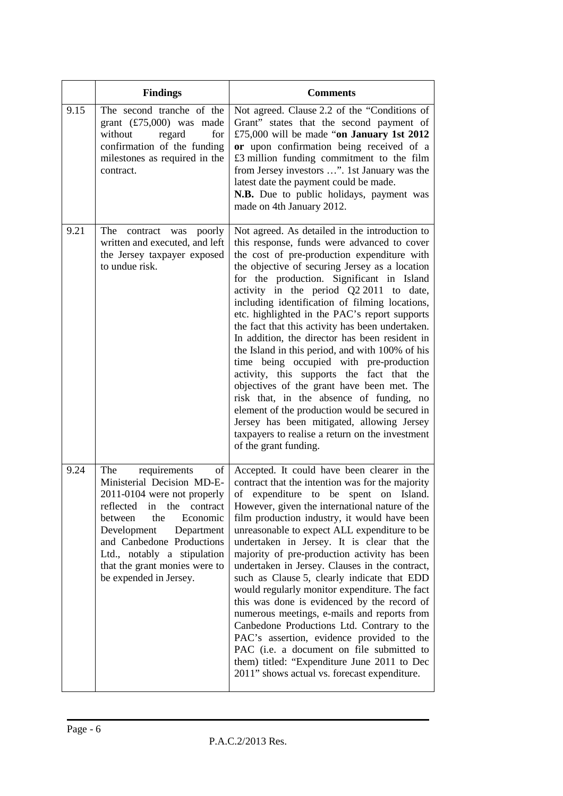|      | <b>Findings</b>                                                                                                                                                                                                                                                                                                | <b>Comments</b>                                                                                                                                                                                                                                                                                                                                                                                                                                                                                                                                                                                                                                                                                                                                                                                                                                                                                                 |  |
|------|----------------------------------------------------------------------------------------------------------------------------------------------------------------------------------------------------------------------------------------------------------------------------------------------------------------|-----------------------------------------------------------------------------------------------------------------------------------------------------------------------------------------------------------------------------------------------------------------------------------------------------------------------------------------------------------------------------------------------------------------------------------------------------------------------------------------------------------------------------------------------------------------------------------------------------------------------------------------------------------------------------------------------------------------------------------------------------------------------------------------------------------------------------------------------------------------------------------------------------------------|--|
| 9.15 | The second tranche of the<br>grant $(\text{\textsterling}75,000)$ was made<br>without<br>regard<br>for<br>confirmation of the funding<br>milestones as required in the<br>contract.                                                                                                                            | Not agreed. Clause 2.2 of the "Conditions of<br>Grant" states that the second payment of<br>£75,000 will be made "on January 1st 2012<br>or upon confirmation being received of a<br>£3 million funding commitment to the film<br>from Jersey investors ". 1st January was the<br>latest date the payment could be made.<br>N.B. Due to public holidays, payment was<br>made on 4th January 2012.                                                                                                                                                                                                                                                                                                                                                                                                                                                                                                               |  |
| 9.21 | The<br>contract<br>poorly<br>was<br>written and executed, and left<br>the Jersey taxpayer exposed<br>to undue risk.                                                                                                                                                                                            | Not agreed. As detailed in the introduction to<br>this response, funds were advanced to cover<br>the cost of pre-production expenditure with<br>the objective of securing Jersey as a location<br>for the production. Significant in Island<br>activity in the period Q2 2011 to date,<br>including identification of filming locations,<br>etc. highlighted in the PAC's report supports<br>the fact that this activity has been undertaken.<br>In addition, the director has been resident in<br>the Island in this period, and with 100% of his<br>time being occupied with pre-production<br>activity, this supports the fact that the<br>objectives of the grant have been met. The<br>risk that, in the absence of funding, no<br>element of the production would be secured in<br>Jersey has been mitigated, allowing Jersey<br>taxpayers to realise a return on the investment<br>of the grant funding. |  |
| 9.24 | The<br>requirements<br>of<br>Ministerial Decision MD-E-<br>2011-0104 were not properly<br>reflected<br>in<br>the<br>contract<br>between<br>the<br>Economic<br>Development<br>Department<br>and Canbedone Productions<br>Ltd., notably a stipulation<br>that the grant monies were to<br>be expended in Jersey. | Accepted. It could have been clearer in the<br>contract that the intention was for the majority<br>of expenditure to be<br>spent<br>Island.<br>on<br>However, given the international nature of the<br>film production industry, it would have been<br>unreasonable to expect ALL expenditure to be<br>undertaken in Jersey. It is clear that the<br>majority of pre-production activity has been<br>undertaken in Jersey. Clauses in the contract,<br>such as Clause 5, clearly indicate that EDD<br>would regularly monitor expenditure. The fact<br>this was done is evidenced by the record of<br>numerous meetings, e-mails and reports from<br>Canbedone Productions Ltd. Contrary to the<br>PAC's assertion, evidence provided to the<br>PAC (i.e. a document on file submitted to<br>them) titled: "Expenditure June 2011 to Dec<br>2011" shows actual vs. forecast expenditure.                        |  |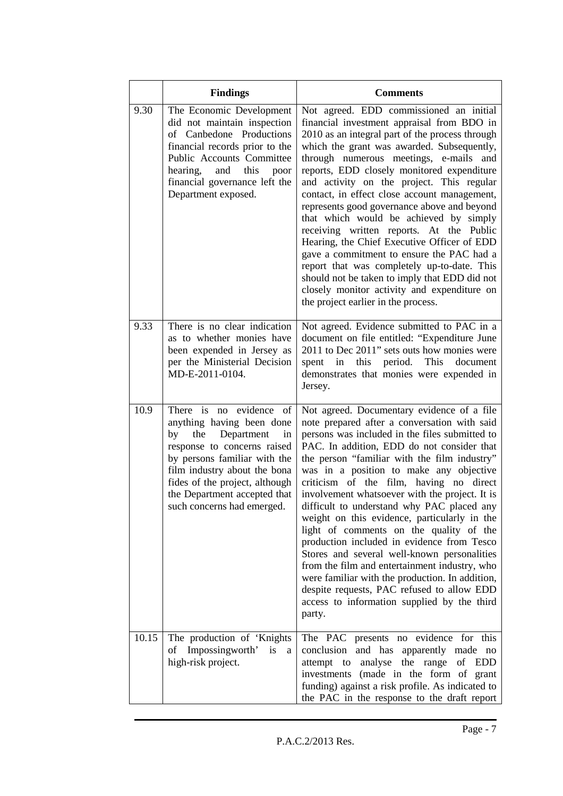|       | <b>Findings</b>                                                                                                                                                                                                                                                                      | <b>Comments</b>                                                                                                                                                                                                                                                                                                                                                                                                                                                                                                                                                                                                                                                                                                                                                                                                                     |  |  |
|-------|--------------------------------------------------------------------------------------------------------------------------------------------------------------------------------------------------------------------------------------------------------------------------------------|-------------------------------------------------------------------------------------------------------------------------------------------------------------------------------------------------------------------------------------------------------------------------------------------------------------------------------------------------------------------------------------------------------------------------------------------------------------------------------------------------------------------------------------------------------------------------------------------------------------------------------------------------------------------------------------------------------------------------------------------------------------------------------------------------------------------------------------|--|--|
| 9.30  | The Economic Development<br>did not maintain inspection<br>of Canbedone Productions<br>financial records prior to the<br>Public Accounts Committee<br>hearing,<br>this<br>and<br>poor<br>financial governance left the<br>Department exposed.                                        | Not agreed. EDD commissioned an initial<br>financial investment appraisal from BDO in<br>2010 as an integral part of the process through<br>which the grant was awarded. Subsequently,<br>through numerous meetings, e-mails and<br>reports, EDD closely monitored expenditure<br>and activity on the project. This regular<br>contact, in effect close account management,<br>represents good governance above and beyond<br>that which would be achieved by simply<br>receiving written reports. At the Public<br>Hearing, the Chief Executive Officer of EDD<br>gave a commitment to ensure the PAC had a<br>report that was completely up-to-date. This<br>should not be taken to imply that EDD did not<br>closely monitor activity and expenditure on<br>the project earlier in the process.                                  |  |  |
| 9.33  | There is no clear indication<br>as to whether monies have<br>been expended in Jersey as<br>per the Ministerial Decision<br>MD-E-2011-0104.                                                                                                                                           | Not agreed. Evidence submitted to PAC in a<br>document on file entitled: "Expenditure June<br>2011 to Dec 2011" sets outs how monies were<br>period.<br>This<br>spent<br>in<br>this<br>document<br>demonstrates that monies were expended in<br>Jersey.                                                                                                                                                                                                                                                                                                                                                                                                                                                                                                                                                                             |  |  |
| 10.9  | There is no evidence of<br>anything having been done<br>by<br>the<br>Department<br>in<br>response to concerns raised<br>by persons familiar with the<br>film industry about the bona<br>fides of the project, although<br>the Department accepted that<br>such concerns had emerged. | Not agreed. Documentary evidence of a file<br>note prepared after a conversation with said<br>persons was included in the files submitted to<br>PAC. In addition, EDD do not consider that<br>the person "familiar with the film industry"<br>was in a position to make any objective<br>criticism of the film, having no direct<br>involvement whatsoever with the project. It is<br>difficult to understand why PAC placed any<br>weight on this evidence, particularly in the<br>light of comments on the quality of the<br>production included in evidence from Tesco<br>Stores and several well-known personalities<br>from the film and entertainment industry, who<br>were familiar with the production. In addition,<br>despite requests, PAC refused to allow EDD<br>access to information supplied by the third<br>party. |  |  |
| 10.15 | The production of 'Knights<br>of Impossingworth' is<br>a<br>high-risk project.                                                                                                                                                                                                       | The PAC presents no evidence for this<br>and has apparently made no<br>conclusion<br>attempt to analyse the range<br>of EDD<br>investments (made in the form of grant<br>funding) against a risk profile. As indicated to<br>the PAC in the response to the draft report                                                                                                                                                                                                                                                                                                                                                                                                                                                                                                                                                            |  |  |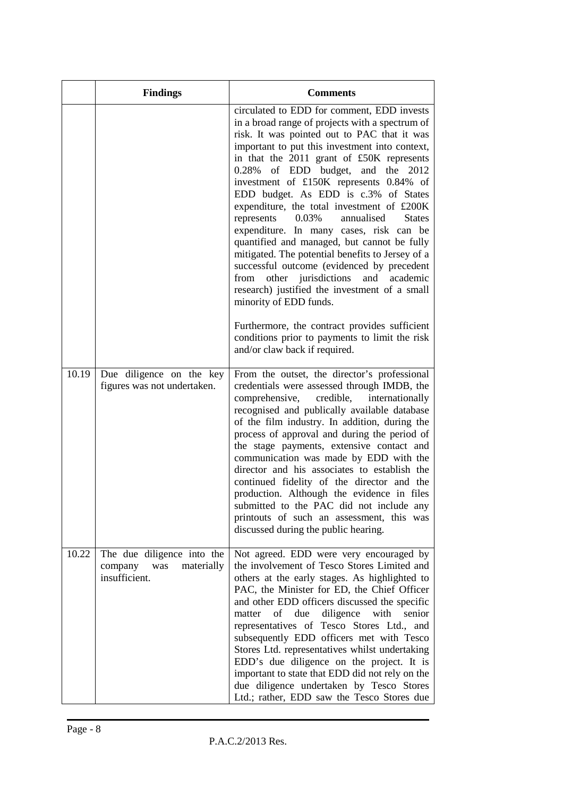|       | <b>Findings</b>                                                             | <b>Comments</b>                                                                                                                                                                                                                                                                                                                                                                                                                                                                                                                                                                                                                                                                                                                                                                                                                                                                                                                            |
|-------|-----------------------------------------------------------------------------|--------------------------------------------------------------------------------------------------------------------------------------------------------------------------------------------------------------------------------------------------------------------------------------------------------------------------------------------------------------------------------------------------------------------------------------------------------------------------------------------------------------------------------------------------------------------------------------------------------------------------------------------------------------------------------------------------------------------------------------------------------------------------------------------------------------------------------------------------------------------------------------------------------------------------------------------|
|       |                                                                             | circulated to EDD for comment, EDD invests<br>in a broad range of projects with a spectrum of<br>risk. It was pointed out to PAC that it was<br>important to put this investment into context,<br>in that the 2011 grant of £50K represents<br>of EDD budget,<br>and the 2012<br>0.28%<br>investment of £150K represents 0.84% of<br>EDD budget. As EDD is c.3% of States<br>expenditure, the total investment of £200K<br>0.03%<br>represents<br>annualised<br><b>States</b><br>expenditure. In many cases, risk can be<br>quantified and managed, but cannot be fully<br>mitigated. The potential benefits to Jersey of a<br>successful outcome (evidenced by precedent<br>other jurisdictions<br>and<br>academic<br>from<br>research) justified the investment of a small<br>minority of EDD funds.<br>Furthermore, the contract provides sufficient<br>conditions prior to payments to limit the risk<br>and/or claw back if required. |
| 10.19 | Due diligence on the key<br>figures was not undertaken.                     | From the outset, the director's professional<br>credentials were assessed through IMDB, the<br>comprehensive,<br>credible,<br>internationally<br>recognised and publically available database<br>of the film industry. In addition, during the<br>process of approval and during the period of<br>the stage payments, extensive contact and<br>communication was made by EDD with the<br>director and his associates to establish the<br>continued fidelity of the director and the<br>production. Although the evidence in files<br>submitted to the PAC did not include any<br>printouts of such an assessment, this was<br>discussed during the public hearing.                                                                                                                                                                                                                                                                         |
| 10.22 | The due diligence into the<br>was<br>materially<br>company<br>insufficient. | Not agreed. EDD were very encouraged by<br>the involvement of Tesco Stores Limited and<br>others at the early stages. As highlighted to<br>PAC, the Minister for ED, the Chief Officer<br>and other EDD officers discussed the specific<br>of due<br>diligence<br>with<br>senior<br>matter<br>representatives of Tesco Stores Ltd., and<br>subsequently EDD officers met with Tesco<br>Stores Ltd. representatives whilst undertaking<br>EDD's due diligence on the project. It is<br>important to state that EDD did not rely on the<br>due diligence undertaken by Tesco Stores<br>Ltd.; rather, EDD saw the Tesco Stores due                                                                                                                                                                                                                                                                                                            |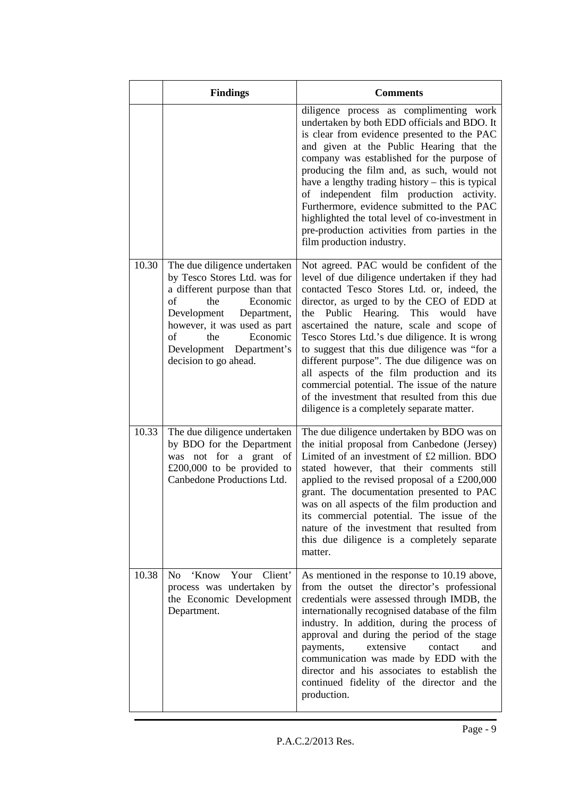|       | <b>Findings</b>                                                                                                                                                                                                                                                    | <b>Comments</b>                                                                                                                                                                                                                                                                                                                                                                                                                                                                                                                                                                                                                        |
|-------|--------------------------------------------------------------------------------------------------------------------------------------------------------------------------------------------------------------------------------------------------------------------|----------------------------------------------------------------------------------------------------------------------------------------------------------------------------------------------------------------------------------------------------------------------------------------------------------------------------------------------------------------------------------------------------------------------------------------------------------------------------------------------------------------------------------------------------------------------------------------------------------------------------------------|
|       |                                                                                                                                                                                                                                                                    | diligence process as complimenting work<br>undertaken by both EDD officials and BDO. It<br>is clear from evidence presented to the PAC<br>and given at the Public Hearing that the<br>company was established for the purpose of<br>producing the film and, as such, would not<br>have a lengthy trading history – this is typical<br>independent film production activity.<br>of<br>Furthermore, evidence submitted to the PAC<br>highlighted the total level of co-investment in<br>pre-production activities from parties in the<br>film production industry.                                                                       |
| 10.30 | The due diligence undertaken<br>by Tesco Stores Ltd. was for<br>a different purpose than that<br>of<br>the<br>Economic<br>Development<br>Department,<br>however, it was used as part<br>of<br>the<br>Economic<br>Development Department's<br>decision to go ahead. | Not agreed. PAC would be confident of the<br>level of due diligence undertaken if they had<br>contacted Tesco Stores Ltd. or, indeed, the<br>director, as urged to by the CEO of EDD at<br>Hearing. This<br>Public<br>would have<br>the<br>ascertained the nature, scale and scope of<br>Tesco Stores Ltd.'s due diligence. It is wrong<br>to suggest that this due diligence was "for a<br>different purpose". The due diligence was on<br>all aspects of the film production and its<br>commercial potential. The issue of the nature<br>of the investment that resulted from this due<br>diligence is a completely separate matter. |
| 10.33 | The due diligence undertaken<br>by BDO for the Department<br>was not for a grant of<br>£200,000 to be provided to<br>Canbedone Productions Ltd.                                                                                                                    | The due diligence undertaken by BDO was on<br>the initial proposal from Canbedone (Jersey)<br>Limited of an investment of £2 million. BDO<br>stated however, that their comments still<br>applied to the revised proposal of a £200,000<br>grant. The documentation presented to PAC<br>was on all aspects of the film production and<br>its commercial potential. The issue of the<br>nature of the investment that resulted from<br>this due diligence is a completely separate<br>matter.                                                                                                                                           |
| 10.38 | Your<br>Client'<br>'Know<br>N <sub>0</sub><br>process was undertaken by<br>the Economic Development<br>Department.                                                                                                                                                 | As mentioned in the response to 10.19 above,<br>from the outset the director's professional<br>credentials were assessed through IMDB, the<br>internationally recognised database of the film<br>industry. In addition, during the process of<br>approval and during the period of the stage<br>extensive<br>and<br>payments,<br>contact<br>communication was made by EDD with the<br>director and his associates to establish the<br>continued fidelity of the director and the<br>production.                                                                                                                                        |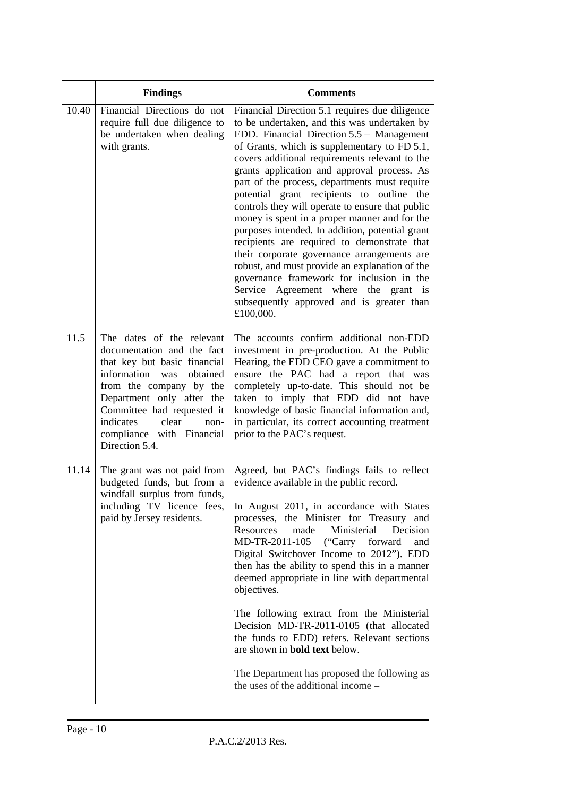|       | <b>Findings</b>                                                                                                                                                                                                                                                                              | <b>Comments</b>                                                                                                                                                                                                                                                                                                                                                                                                                                                                                                                                                                                                                                                                                                                                                                                                                                               |
|-------|----------------------------------------------------------------------------------------------------------------------------------------------------------------------------------------------------------------------------------------------------------------------------------------------|---------------------------------------------------------------------------------------------------------------------------------------------------------------------------------------------------------------------------------------------------------------------------------------------------------------------------------------------------------------------------------------------------------------------------------------------------------------------------------------------------------------------------------------------------------------------------------------------------------------------------------------------------------------------------------------------------------------------------------------------------------------------------------------------------------------------------------------------------------------|
| 10.40 | Financial Directions do not<br>require full due diligence to<br>be undertaken when dealing<br>with grants.                                                                                                                                                                                   | Financial Direction 5.1 requires due diligence<br>to be undertaken, and this was undertaken by<br>EDD. Financial Direction 5.5 - Management<br>of Grants, which is supplementary to FD 5.1,<br>covers additional requirements relevant to the<br>grants application and approval process. As<br>part of the process, departments must require<br>potential grant recipients<br>to<br>outline<br>the<br>controls they will operate to ensure that public<br>money is spent in a proper manner and for the<br>purposes intended. In addition, potential grant<br>recipients are required to demonstrate that<br>their corporate governance arrangements are<br>robust, and must provide an explanation of the<br>governance framework for inclusion in the<br>Service<br>Agreement where the grant is<br>subsequently approved and is greater than<br>£100,000. |
| 11.5  | The dates of the relevant<br>documentation and the fact<br>that key but basic financial<br>information<br>obtained<br>was<br>from the company by the<br>Department only after the<br>Committee had requested it<br>indicates<br>clear<br>non-<br>compliance with Financial<br>Direction 5.4. | The accounts confirm additional non-EDD<br>investment in pre-production. At the Public<br>Hearing, the EDD CEO gave a commitment to<br>ensure the PAC had a report that was<br>completely up-to-date. This should not be<br>taken to imply that EDD did not have<br>knowledge of basic financial information and,<br>in particular, its correct accounting treatment<br>prior to the PAC's request.                                                                                                                                                                                                                                                                                                                                                                                                                                                           |
| 11.14 | The grant was not paid from<br>budgeted funds, but from a<br>windfall surplus from funds,<br>including TV licence fees,<br>paid by Jersey residents.                                                                                                                                         | Agreed, but PAC's findings fails to reflect<br>evidence available in the public record.<br>In August 2011, in accordance with States<br>processes, the Minister for Treasury and<br>Resources<br>Ministerial<br>Decision<br>made<br>MD-TR-2011-105<br>("Carry forward<br>and<br>Digital Switchover Income to 2012"). EDD<br>then has the ability to spend this in a manner<br>deemed appropriate in line with departmental<br>objectives.<br>The following extract from the Ministerial<br>Decision MD-TR-2011-0105 (that allocated<br>the funds to EDD) refers. Relevant sections<br>are shown in <b>bold text</b> below.<br>The Department has proposed the following as<br>the uses of the additional income –                                                                                                                                             |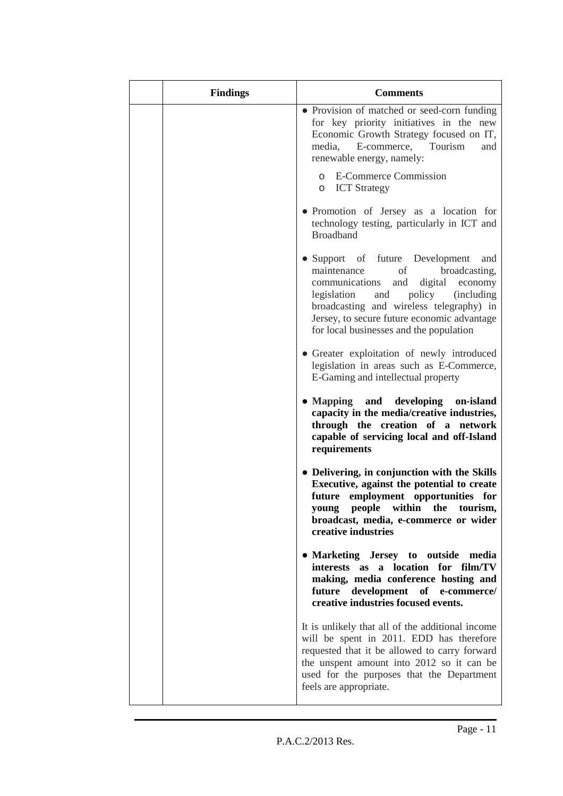| <b>Findings</b> | <b>Comments</b>                                                                                                                                                                                                                                                                                                         |
|-----------------|-------------------------------------------------------------------------------------------------------------------------------------------------------------------------------------------------------------------------------------------------------------------------------------------------------------------------|
|                 | • Provision of matched or seed-corn funding<br>for key priority initiatives in the new<br>Economic Growth Strategy focused on IT,<br>Tourism<br>media, E-commerce,<br>and<br>renewable energy, namely:                                                                                                                  |
|                 | <b>E-Commerce Commission</b><br>$\circ$<br><b>ICT</b> Strategy<br>O                                                                                                                                                                                                                                                     |
|                 | • Promotion of Jersey as a location for<br>technology testing, particularly in ICT and<br><b>Broadband</b>                                                                                                                                                                                                              |
|                 | • Support of future Development<br>and<br>of<br>broadcasting,<br>maintenance<br>digital<br>communications<br>and<br>economy<br>policy<br>legislation<br><i>(including)</i><br>and<br>broadcasting and wireless telegraphy) in<br>Jersey, to secure future economic advantage<br>for local businesses and the population |
|                 | • Greater exploitation of newly introduced<br>legislation in areas such as E-Commerce,<br>E-Gaming and intellectual property                                                                                                                                                                                            |
|                 | • Mapping and developing on-island<br>capacity in the media/creative industries,<br>through the creation of a network<br>capable of servicing local and off-Island<br>requirements                                                                                                                                      |
|                 | • Delivering, in conjunction with the Skills<br>Executive, against the potential to create<br>future employment opportunities for<br>within the<br>young people<br>tourism,<br>broadcast, media, e-commerce or wider<br>creative industries                                                                             |
|                 | • Marketing Jersey to outside media<br>interests as a location for film/TV<br>making, media conference hosting and<br>future development of e-commerce/<br>creative industries focused events.                                                                                                                          |
|                 | It is unlikely that all of the additional income<br>will be spent in 2011. EDD has therefore<br>requested that it be allowed to carry forward<br>the unspent amount into 2012 so it can be<br>used for the purposes that the Department<br>feels are appropriate.                                                       |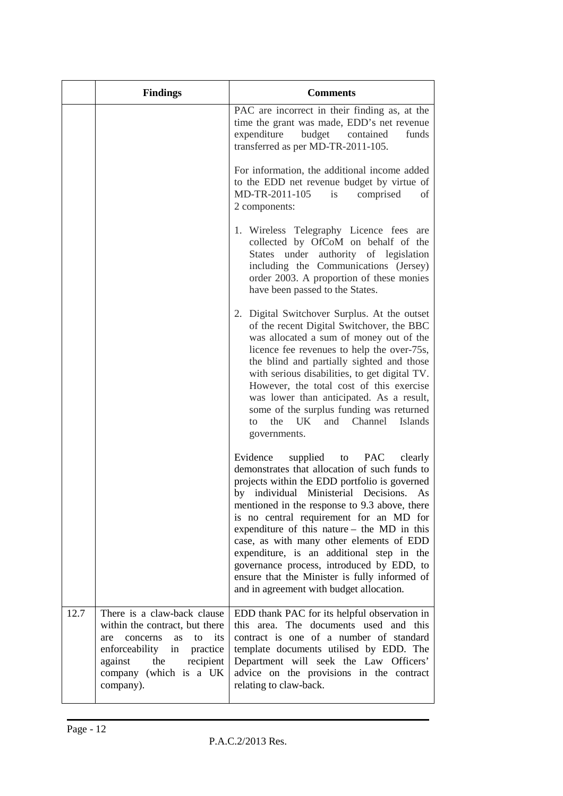|      | <b>Findings</b>                                                                                                                                                                                      | <b>Comments</b>                                                                                                                                                                                                                                                                                                                                                                                                                                                                                                                                                                   |  |  |
|------|------------------------------------------------------------------------------------------------------------------------------------------------------------------------------------------------------|-----------------------------------------------------------------------------------------------------------------------------------------------------------------------------------------------------------------------------------------------------------------------------------------------------------------------------------------------------------------------------------------------------------------------------------------------------------------------------------------------------------------------------------------------------------------------------------|--|--|
|      |                                                                                                                                                                                                      | PAC are incorrect in their finding as, at the<br>time the grant was made, EDD's net revenue<br>expenditure<br>budget<br>contained<br>funds<br>transferred as per MD-TR-2011-105.                                                                                                                                                                                                                                                                                                                                                                                                  |  |  |
|      |                                                                                                                                                                                                      | For information, the additional income added<br>to the EDD net revenue budget by virtue of<br>MD-TR-2011-105<br>is<br>comprised<br>of<br>2 components:                                                                                                                                                                                                                                                                                                                                                                                                                            |  |  |
|      |                                                                                                                                                                                                      | 1. Wireless Telegraphy Licence fees are<br>collected by OfCoM on behalf of the<br>States under authority of legislation<br>including the Communications (Jersey)<br>order 2003. A proportion of these monies<br>have been passed to the States.                                                                                                                                                                                                                                                                                                                                   |  |  |
|      |                                                                                                                                                                                                      | 2. Digital Switchover Surplus. At the outset<br>of the recent Digital Switchover, the BBC<br>was allocated a sum of money out of the<br>licence fee revenues to help the over-75s,<br>the blind and partially sighted and those<br>with serious disabilities, to get digital TV.<br>However, the total cost of this exercise<br>was lower than anticipated. As a result,<br>some of the surplus funding was returned<br>the UK<br>and Channel<br><b>Islands</b><br>to<br>governments.                                                                                             |  |  |
|      |                                                                                                                                                                                                      | Evidence<br>supplied<br><b>PAC</b><br>to<br>clearly<br>demonstrates that allocation of such funds to<br>projects within the EDD portfolio is governed<br>by individual Ministerial Decisions.<br>As<br>mentioned in the response to 9.3 above, there<br>is no central requirement for an MD for<br>expenditure of this nature - the MD in this<br>case, as with many other elements of EDD<br>expenditure, is an additional step in the<br>governance process, introduced by EDD, to<br>ensure that the Minister is fully informed of<br>and in agreement with budget allocation. |  |  |
| 12.7 | There is a claw-back clause<br>within the contract, but there<br>concerns<br>as to its<br>are<br>enforceability in<br>practice<br>against<br>the<br>recipient<br>company (which is a UK<br>company). | EDD thank PAC for its helpful observation in<br>this area. The documents used and this<br>contract is one of a number of standard<br>template documents utilised by EDD. The<br>Department will seek the Law Officers'<br>advice on the provisions in the contract<br>relating to claw-back.                                                                                                                                                                                                                                                                                      |  |  |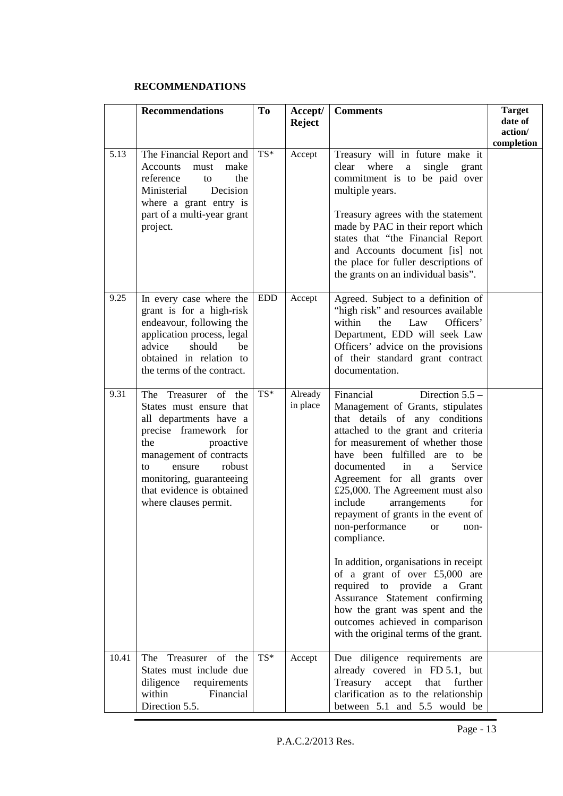### **RECOMMENDATIONS**

|                   | <b>Recommendations</b>                                                                                                                                                                                                                                        | To         | Accept/<br><b>Reject</b> | <b>Comments</b>                                                                                                                                                                                                                                                                                                                                                                                                                                                                                                                                                                                                                                                                                          | <b>Target</b><br>date of<br>action/<br>completion |
|-------------------|---------------------------------------------------------------------------------------------------------------------------------------------------------------------------------------------------------------------------------------------------------------|------------|--------------------------|----------------------------------------------------------------------------------------------------------------------------------------------------------------------------------------------------------------------------------------------------------------------------------------------------------------------------------------------------------------------------------------------------------------------------------------------------------------------------------------------------------------------------------------------------------------------------------------------------------------------------------------------------------------------------------------------------------|---------------------------------------------------|
| $\overline{5.13}$ | The Financial Report and<br><b>Accounts</b><br>make<br>must<br>reference<br>the<br>to<br>Decision<br>Ministerial<br>where a grant entry is<br>part of a multi-year grant<br>project.                                                                          | TS*        | Accept                   | Treasury will in future make it<br>where<br>single<br>clear<br>$\mathbf{a}$<br>grant<br>commitment is to be paid over<br>multiple years.<br>Treasury agrees with the statement<br>made by PAC in their report which<br>states that "the Financial Report<br>and Accounts document [is] not<br>the place for fuller descriptions of<br>the grants on an individual basis".                                                                                                                                                                                                                                                                                                                                |                                                   |
| 9.25              | In every case where the<br>grant is for a high-risk<br>endeavour, following the<br>application process, legal<br>advice<br>should<br>be<br>obtained in relation to<br>the terms of the contract.                                                              | <b>EDD</b> | Accept                   | Agreed. Subject to a definition of<br>"high risk" and resources available<br>within<br>the<br>Law<br>Officers'<br>Department, EDD will seek Law<br>Officers' advice on the provisions<br>of their standard grant contract<br>documentation.                                                                                                                                                                                                                                                                                                                                                                                                                                                              |                                                   |
| 9.31              | The Treasurer of the<br>States must ensure that<br>all departments have a<br>precise framework for<br>the<br>proactive<br>management of contracts<br>robust<br>ensure<br>to<br>monitoring, guaranteeing<br>that evidence is obtained<br>where clauses permit. | TS*        | Already<br>in place      | Direction $5.5 -$<br>Financial<br>Management of Grants, stipulates<br>that details of any conditions<br>attached to the grant and criteria<br>for measurement of whether those<br>have been fulfilled are to be<br>in<br>Service<br>documented<br>a<br>Agreement for all grants over<br>£25,000. The Agreement must also<br>include<br>arrangements<br>for<br>repayment of grants in the event of<br>non-performance or non-<br>compliance.<br>In addition, organisations in receipt<br>of a grant of over £5,000 are<br>required to provide<br>a Grant<br>Assurance Statement confirming<br>how the grant was spent and the<br>outcomes achieved in comparison<br>with the original terms of the grant. |                                                   |
| 10.41             | Treasurer of the<br>The<br>States must include due<br>diligence<br>requirements<br>within<br>Financial<br>Direction 5.5.                                                                                                                                      | TS*        | Accept                   | Due diligence requirements<br>are<br>already covered in FD 5.1, but<br>Treasury<br>accept<br>that<br>further<br>clarification as to the relationship<br>between 5.1 and 5.5 would be                                                                                                                                                                                                                                                                                                                                                                                                                                                                                                                     |                                                   |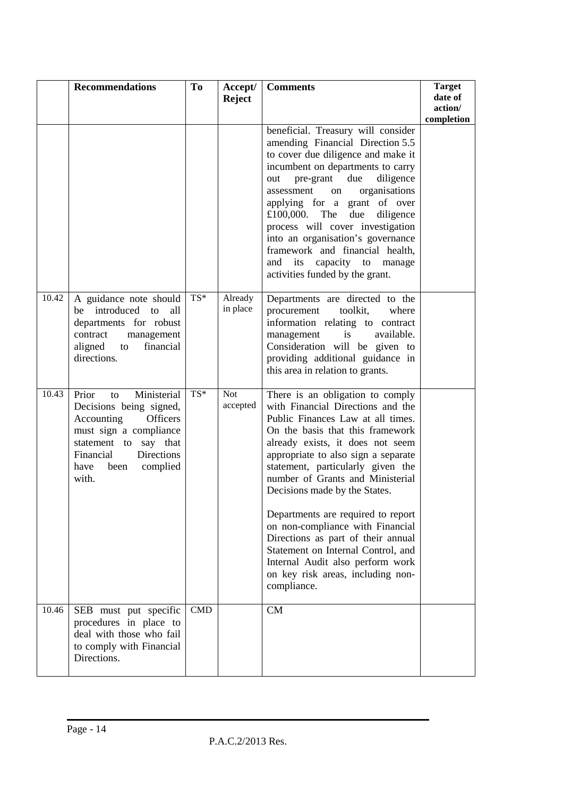|       | <b>Recommendations</b>                                                                                                                                                                                    | To  | Accept/<br><b>Reject</b> | <b>Comments</b>                                                                                                                                                                                                                                                                                                                                                                                                                                                                                                                                                                   | <b>Target</b><br>date of<br>action/<br>completion |
|-------|-----------------------------------------------------------------------------------------------------------------------------------------------------------------------------------------------------------|-----|--------------------------|-----------------------------------------------------------------------------------------------------------------------------------------------------------------------------------------------------------------------------------------------------------------------------------------------------------------------------------------------------------------------------------------------------------------------------------------------------------------------------------------------------------------------------------------------------------------------------------|---------------------------------------------------|
|       |                                                                                                                                                                                                           |     |                          | beneficial. Treasury will consider<br>amending Financial Direction 5.5<br>to cover due diligence and make it<br>incumbent on departments to carry<br>due<br>diligence<br>pre-grant<br>out<br>organisations<br>assessment<br>on<br>applying for a grant of over<br>due<br>£100,000.<br>The<br>diligence<br>process will cover investigation<br>into an organisation's governance<br>framework and financial health,<br>capacity to<br>and its<br>manage<br>activities funded by the grant.                                                                                         |                                                   |
| 10.42 | A guidance note should<br>be introduced<br>to<br>all<br>departments for robust<br>contract<br>management<br>aligned<br>financial<br>to<br>directions.                                                     | TS* | Already<br>in place      | Departments are directed to the<br>toolkit,<br>procurement<br>where<br>information relating to contract<br>is<br>available.<br>management<br>Consideration will be given to<br>providing additional guidance in<br>this area in relation to grants.                                                                                                                                                                                                                                                                                                                               |                                                   |
| 10.43 | Ministerial<br>Prior<br>to<br>Decisions being signed,<br>Accounting<br><b>Officers</b><br>must sign a compliance<br>statement to say that<br>Directions<br>Financial<br>complied<br>have<br>been<br>with. | TS* | <b>Not</b><br>accepted   | There is an obligation to comply<br>with Financial Directions and the<br>Public Finances Law at all times.<br>On the basis that this framework<br>already exists, it does not seem<br>appropriate to also sign a separate<br>statement, particularly given the<br>number of Grants and Ministerial<br>Decisions made by the States.<br>Departments are required to report<br>on non-compliance with Financial<br>Directions as part of their annual<br>Statement on Internal Control, and<br>Internal Audit also perform work<br>on key risk areas, including non-<br>compliance. |                                                   |
| 10.46 | SEB must put specific<br>procedures in place to<br>deal with those who fail<br>to comply with Financial<br>Directions.                                                                                    | CMD |                          | CM                                                                                                                                                                                                                                                                                                                                                                                                                                                                                                                                                                                |                                                   |